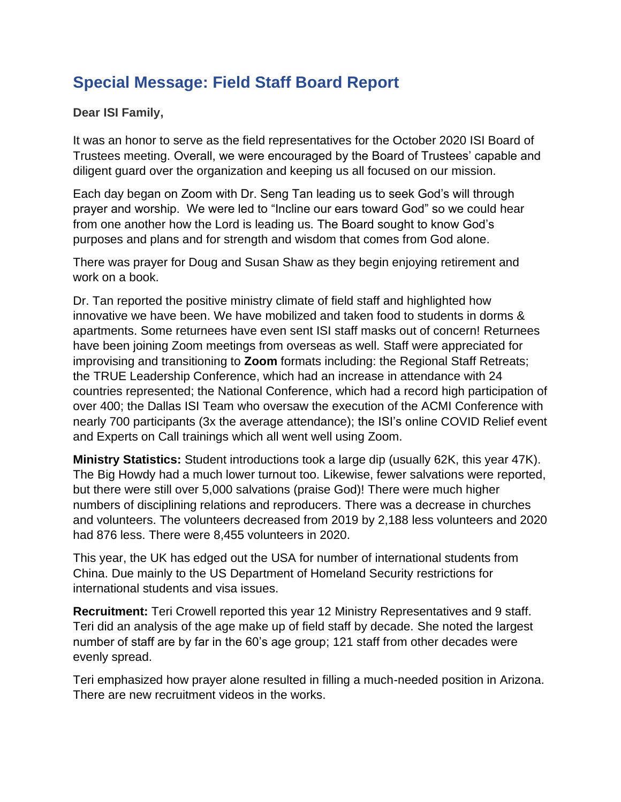## **Special Message: Field Staff Board Report**

## **Dear ISI Family,**

It was an honor to serve as the field representatives for the October 2020 ISI Board of Trustees meeting. Overall, we were encouraged by the Board of Trustees' capable and diligent guard over the organization and keeping us all focused on our mission.

Each day began on Zoom with Dr. Seng Tan leading us to seek God's will through prayer and worship. We were led to "Incline our ears toward God" so we could hear from one another how the Lord is leading us. The Board sought to know God's purposes and plans and for strength and wisdom that comes from God alone.

There was prayer for Doug and Susan Shaw as they begin enjoying retirement and work on a book.

Dr. Tan reported the positive ministry climate of field staff and highlighted how innovative we have been. We have mobilized and taken food to students in dorms & apartments. Some returnees have even sent ISI staff masks out of concern! Returnees have been joining Zoom meetings from overseas as well. Staff were appreciated for improvising and transitioning to **Zoom** formats including: the Regional Staff Retreats; the TRUE Leadership Conference, which had an increase in attendance with 24 countries represented; the National Conference, which had a record high participation of over 400; the Dallas ISI Team who oversaw the execution of the ACMI Conference with nearly 700 participants (3x the average attendance); the ISI's online COVID Relief event and Experts on Call trainings which all went well using Zoom.

**Ministry Statistics:** Student introductions took a large dip (usually 62K, this year 47K). The Big Howdy had a much lower turnout too. Likewise, fewer salvations were reported, but there were still over 5,000 salvations (praise God)! There were much higher numbers of disciplining relations and reproducers. There was a decrease in churches and volunteers. The volunteers decreased from 2019 by 2,188 less volunteers and 2020 had 876 less. There were 8,455 volunteers in 2020.

This year, the UK has edged out the USA for number of international students from China. Due mainly to the US Department of Homeland Security restrictions for international students and visa issues.

**Recruitment:** Teri Crowell reported this year 12 Ministry Representatives and 9 staff. Teri did an analysis of the age make up of field staff by decade. She noted the largest number of staff are by far in the 60's age group; 121 staff from other decades were evenly spread.

Teri emphasized how prayer alone resulted in filling a much-needed position in Arizona. There are new recruitment videos in the works.